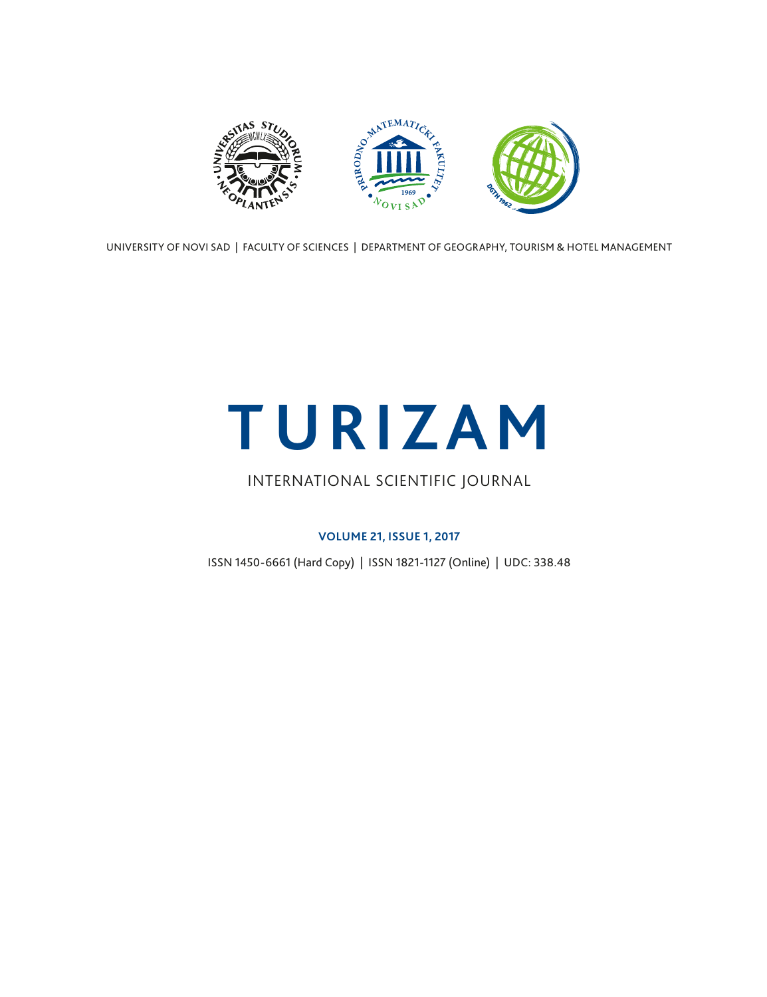

UNIVERSITY OF NOVI SAD | FACULTY OF SCIENCES | DEPARTMENT OF GEOGRAPHY, TOURISM & HOTEL MANAGEMENT

# **TURIZAM**

## INTERNATIONAL SCIENTIFIC JOURNAL

### **VOLUME 21, ISSUE 1, 2017**

ISSN 1450-6661 (Hard Copy) | ISSN 1821-1127 (Online) | UDC: 338.48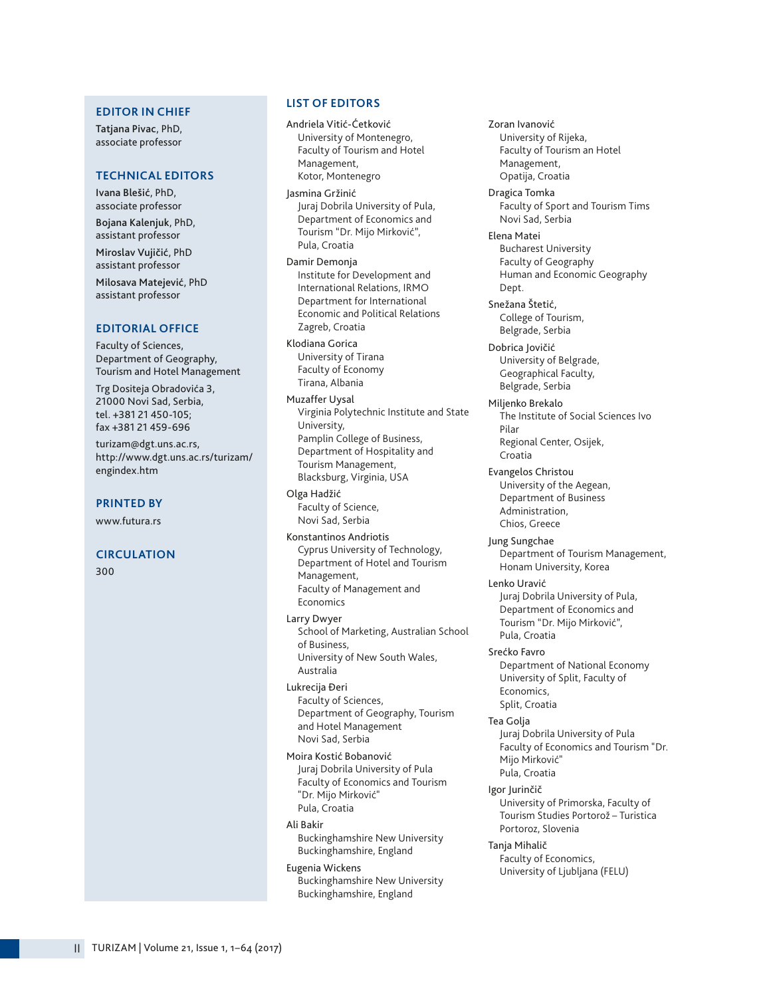#### **EDITOR IN CHIEF**

Tatjana Pivac, PhD, associate professor

#### **TECHNICAL EDITORS**

Ivana Blešić, PhD, associate professor

Bojana Kalenjuk, PhD, assistant professor Miroslav Vujičić, PhD assistant professor

Milosava Matejević, PhD assistant professor

#### **EDITORIAL OFFICE**

Faculty of Sciences, Department of Geography, Tourism and Hotel Management

Trg Dositeja Obradovića 3, 21000 Novi Sad, Serbia, tel. +381 21 450-105; fax +381 21 459-696

turizam@dgt.uns.ac.rs, http://www.dgt.uns.ac.rs/turizam/ engindex.htm

#### **PRINTED BY**

www.futura.rs

#### **CIRCULATION**

300

#### **LIST OF EDITORS**

Andriela Vitić-Ćetković University of Montenegro, Faculty of Tourism and Hotel Management, Kotor, Montenegro

Jasmina Gržinić Juraj Dobrila University of Pula, Department of Economics and Tourism "Dr. Mijo Mirković", Pula, Croatia

Damir Demonja Institute for Development and International Relations, IRMO Department for International Economic and Political Relations Zagreb, Croatia

Klodiana Gorica University of Tirana Faculty of Economy Tirana, Albania

Muzaffer Uysal Virginia Polytechnic Institute and State University, Pamplin College of Business, Department of Hospitality and Tourism Management, Blacksburg, Virginia, USA

Olga Hadžić Faculty of Science, Novi Sad, Serbia

Konstantinos Andriotis Cyprus University of Technology, Department of Hotel and Tourism Management, Faculty of Management and Economics

Larry Dwyer School of Marketing, Australian School of Business, University of New South Wales, Australia

Lukrecija Đeri Faculty of Sciences, Department of Geography, Tourism and Hotel Management Novi Sad, Serbia

Moira Kostić Bobanović Juraj Dobrila University of Pula Faculty of Economics and Tourism "Dr. Mijo Mirković" Pula, Croatia

#### Ali Bakir

Buckinghamshire New University Buckinghamshire, England

#### Eugenia Wickens

Buckinghamshire New University Buckinghamshire, England

Management, Opatija, Croatia Dragica Tomka Faculty of Sport and Tourism Tims Novi Sad, Serbia Elena Matei Bucharest University Faculty of Geography Human and Economic Geography Dept. Snežana Štetić, College of Tourism, Belgrade, Serbia Dobrica Jovičić University of Belgrade, Geographical Faculty, Belgrade, Serbia Miljenko Brekalo The Institute of Social Sciences Ivo Pilar Regional Center, Osijek, Croatia Evangelos Christou University of the Aegean, Department of Business Administration, Chios, Greece Jung Sungchae Department of Tourism Management, Honam University, Korea Lenko Uravić Juraj Dobrila University of Pula, Department of Economics and Tourism "Dr. Mijo Mirković",

Zoran Ivanović University of Rijeka, Faculty of Tourism an Hotel

Srećko Favro Department of National Economy University of Split, Faculty of Economics, Split, Croatia

Pula, Croatia

Tea Golja Juraj Dobrila University of Pula Faculty of Economics and Tourism "Dr. Mijo Mirković" Pula, Croatia

Igor Jurinčič University of Primorska, Faculty of Tourism Studies Portorož – Turistica Portoroz, Slovenia

Tanja Mihalič Faculty of Economics, University of Ljubljana (FELU)